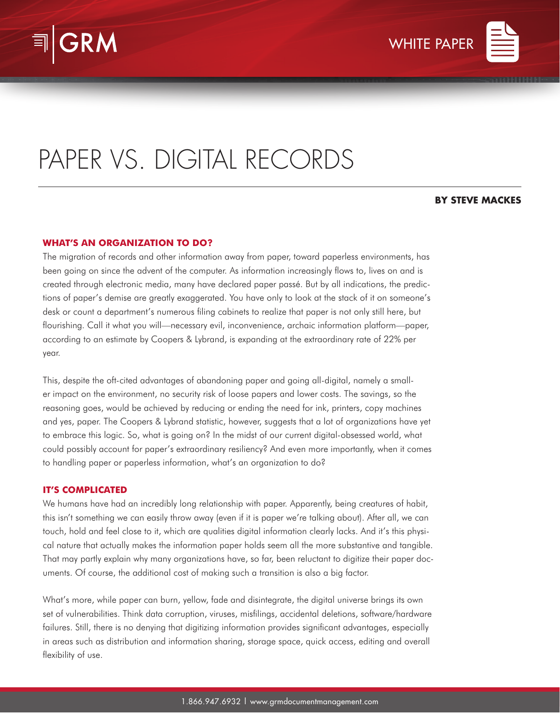



# PAPER VS. DIGITAL RECORDS

# **BY STEVE MACKES**

# **WHAT'S AN ORGANIZATION TO DO?**

The migration of records and other information away from paper, toward paperless environments, has been going on since the advent of the computer. As information increasingly flows to, lives on and is created through electronic media, many have declared paper passé. But by all indications, the predictions of paper's demise are greatly exaggerated. You have only to look at the stack of it on someone's desk or count a department's numerous filing cabinets to realize that paper is not only still here, but flourishing. Call it what you will—necessary evil, inconvenience, archaic information platform—paper, according to an estimate by Coopers & Lybrand, is expanding at the extraordinary rate of 22% per year.

This, despite the oft-cited advantages of abandoning paper and going all-digital, namely a smaller impact on the environment, no security risk of loose papers and lower costs. The savings, so the reasoning goes, would be achieved by reducing or ending the need for ink, printers, copy machines and yes, paper. The Coopers & Lybrand statistic, however, suggests that a lot of organizations have yet to embrace this logic. So, what is going on? In the midst of our current digital-obsessed world, what could possibly account for paper's extraordinary resiliency? And even more importantly, when it comes to handling paper or paperless information, what's an organization to do?

### **IT'S COMPLICATED**

We humans have had an incredibly long relationship with paper. Apparently, being creatures of habit, this isn't something we can easily throw away (even if it is paper we're talking about). After all, we can touch, hold and feel close to it, which are qualities digital information clearly lacks. And it's this physical nature that actually makes the information paper holds seem all the more substantive and tangible. That may partly explain why many organizations have, so far, been reluctant to digitize their paper documents. Of course, the additional cost of making such a transition is also a big factor.

What's more, while paper can burn, yellow, fade and disintegrate, the digital universe brings its own set of vulnerabilities. Think data corruption, viruses, misfilings, accidental deletions, software/hardware failures. Still, there is no denying that digitizing information provides significant advantages, especially in areas such as distribution and information sharing, storage space, quick access, editing and overall flexibility of use.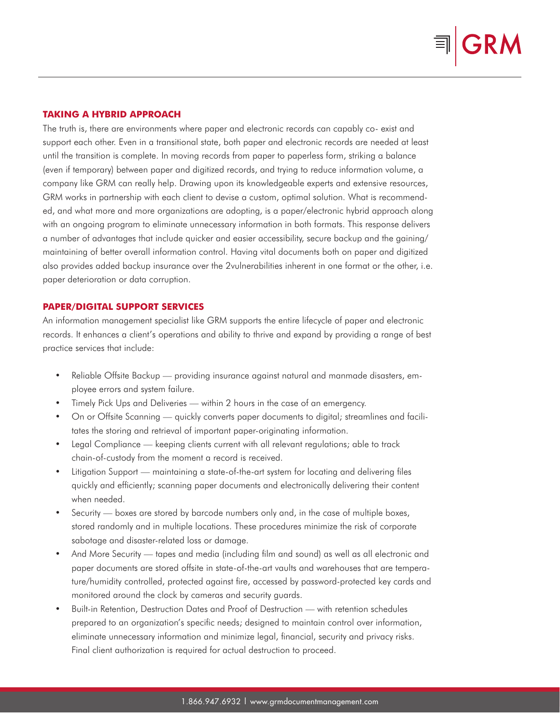# **TAKING A HYBRID APPROACH**

The truth is, there are environments where paper and electronic records can capably co- exist and support each other. Even in a transitional state, both paper and electronic records are needed at least until the transition is complete. In moving records from paper to paperless form, striking a balance (even if temporary) between paper and digitized records, and trying to reduce information volume, a company like GRM can really help. Drawing upon its knowledgeable experts and extensive resources, GRM works in partnership with each client to devise a custom, optimal solution. What is recommended, and what more and more organizations are adopting, is a paper/electronic hybrid approach along with an ongoing program to eliminate unnecessary information in both formats. This response delivers a number of advantages that include quicker and easier accessibility, secure backup and the gaining/ maintaining of better overall information control. Having vital documents both on paper and digitized also provides added backup insurance over the 2vulnerabilities inherent in one format or the other, i.e. paper deterioration or data corruption.

## **PAPER/DIGITAL SUPPORT SERVICES**

An information management specialist like GRM supports the entire lifecycle of paper and electronic records. It enhances a client's operations and ability to thrive and expand by providing a range of best practice services that include:

- Reliable Offsite Backup providing insurance against natural and manmade disasters, employee errors and system failure.
- Timely Pick Ups and Deliveries within 2 hours in the case of an emergency.
- On or Offsite Scanning quickly converts paper documents to digital; streamlines and facilitates the storing and retrieval of important paper-originating information.
- Legal Compliance keeping clients current with all relevant regulations; able to track chain-of-custody from the moment a record is received.
- Litigation Support maintaining a state-of-the-art system for locating and delivering files quickly and efficiently; scanning paper documents and electronically delivering their content when needed.
- Security boxes are stored by barcode numbers only and, in the case of multiple boxes, stored randomly and in multiple locations. These procedures minimize the risk of corporate sabotage and disaster-related loss or damage.
- And More Security tapes and media (including film and sound) as well as all electronic and paper documents are stored offsite in state-of-the-art vaults and warehouses that are temperature/humidity controlled, protected against fire, accessed by password-protected key cards and monitored around the clock by cameras and security guards.
- Built-in Retention, Destruction Dates and Proof of Destruction with retention schedules prepared to an organization's specific needs; designed to maintain control over information, eliminate unnecessary information and minimize legal, financial, security and privacy risks. Final client authorization is required for actual destruction to proceed.